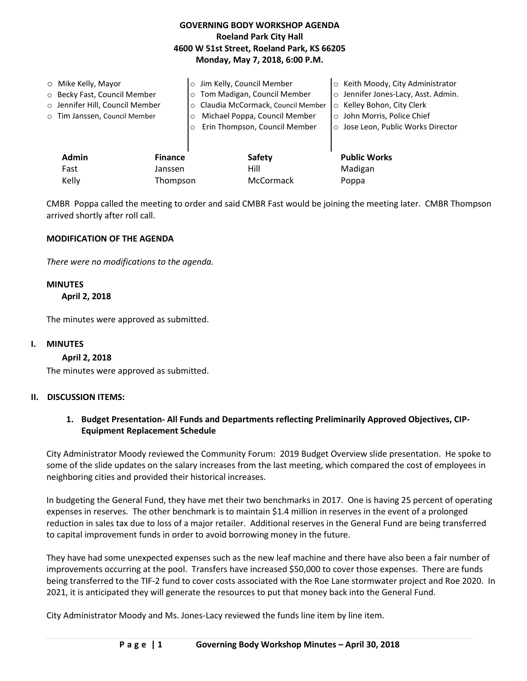# **GOVERNING BODY WORKSHOP AGENDA Roeland Park City Hall 4600 W 51st Street, Roeland Park, KS 66205 Monday, May 7, 2018, 6:00 P.M.**

|              | $\circ$ Mike Kelly, Mayor<br>○ Becky Fast, Council Member<br>o Jennifer Hill, Council Member<br>o Tim Janssen, Council Member | Jim Kelly, Council Member<br>Tom Madigan, Council Member<br>$\circ$<br>Claudia McCormack, Council Member<br>$\circ$<br>Michael Poppa, Council Member<br>Erin Thompson, Council Member | Keith Moody, City Administrator<br>$\circ$<br>Jennifer Jones-Lacy, Asst. Admin.<br>$\circ$<br>Kelley Bohon, City Clerk<br>$\circ$<br>o John Morris, Police Chief<br>Jose Leon, Public Works Director<br>$\circ$ |
|--------------|-------------------------------------------------------------------------------------------------------------------------------|---------------------------------------------------------------------------------------------------------------------------------------------------------------------------------------|-----------------------------------------------------------------------------------------------------------------------------------------------------------------------------------------------------------------|
| <b>Admin</b> | <b>Finance</b>                                                                                                                | Safety                                                                                                                                                                                | <b>Public Works</b>                                                                                                                                                                                             |
| Fast         | Janssen                                                                                                                       | Hill                                                                                                                                                                                  | Madigan                                                                                                                                                                                                         |
| Kelly        | Thompson                                                                                                                      | McCormack                                                                                                                                                                             | Poppa                                                                                                                                                                                                           |

CMBR Poppa called the meeting to order and said CMBR Fast would be joining the meeting later. CMBR Thompson arrived shortly after roll call.

## **MODIFICATION OF THE AGENDA**

*There were no modifications to the agenda.* 

# **MINUTES**

 **April 2, 2018** 

The minutes were approved as submitted.

### **I. MINUTES**

**April 2, 2018**

The minutes were approved as submitted.

### **II. DISCUSSION ITEMS:**

## **1. Budget Presentation- All Funds and Departments reflecting Preliminarily Approved Objectives, CIP-Equipment Replacement Schedule**

City Administrator Moody reviewed the Community Forum: 2019 Budget Overview slide presentation. He spoke to some of the slide updates on the salary increases from the last meeting, which compared the cost of employees in neighboring cities and provided their historical increases.

In budgeting the General Fund, they have met their two benchmarks in 2017. One is having 25 percent of operating expenses in reserves. The other benchmark is to maintain \$1.4 million in reserves in the event of a prolonged reduction in sales tax due to loss of a major retailer. Additional reserves in the General Fund are being transferred to capital improvement funds in order to avoid borrowing money in the future.

They have had some unexpected expenses such as the new leaf machine and there have also been a fair number of improvements occurring at the pool. Transfers have increased \$50,000 to cover those expenses. There are funds being transferred to the TIF-2 fund to cover costs associated with the Roe Lane stormwater project and Roe 2020. In 2021, it is anticipated they will generate the resources to put that money back into the General Fund.

City Administrator Moody and Ms. Jones-Lacy reviewed the funds line item by line item.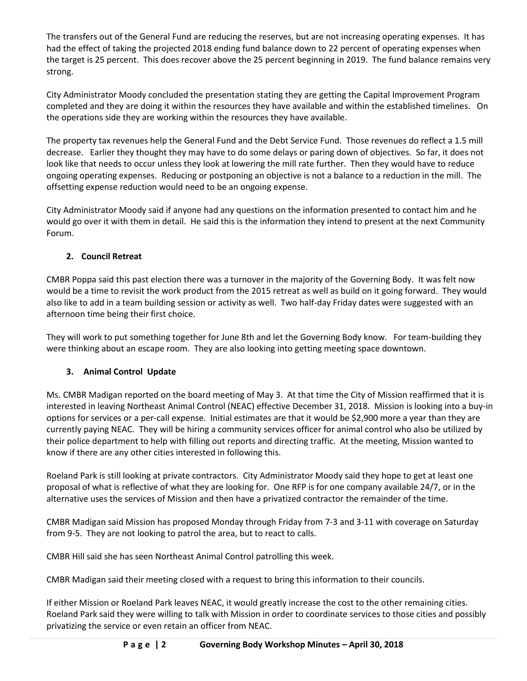The transfers out of the General Fund are reducing the reserves, but are not increasing operating expenses. It has had the effect of taking the projected 2018 ending fund balance down to 22 percent of operating expenses when the target is 25 percent. This does recover above the 25 percent beginning in 2019. The fund balance remains very strong.

City Administrator Moody concluded the presentation stating they are getting the Capital Improvement Program completed and they are doing it within the resources they have available and within the established timelines. On the operations side they are working within the resources they have available.

The property tax revenues help the General Fund and the Debt Service Fund. Those revenues do reflect a 1.5 mill decrease. Earlier they thought they may have to do some delays or paring down of objectives. So far, it does not look like that needs to occur unless they look at lowering the mill rate further. Then they would have to reduce ongoing operating expenses. Reducing or postponing an objective is not a balance to a reduction in the mill. The offsetting expense reduction would need to be an ongoing expense.

City Administrator Moody said if anyone had any questions on the information presented to contact him and he would go over it with them in detail. He said this is the information they intend to present at the next Community Forum.

# **2. Council Retreat**

CMBR Poppa said this past election there was a turnover in the majority of the Governing Body. It was felt now would be a time to revisit the work product from the 2015 retreat as well as build on it going forward. They would also like to add in a team building session or activity as well. Two half-day Friday dates were suggested with an afternoon time being their first choice.

They will work to put something together for June 8th and let the Governing Body know. For team-building they were thinking about an escape room. They are also looking into getting meeting space downtown.

# **3. Animal Control Update**

Ms. CMBR Madigan reported on the board meeting of May 3. At that time the City of Mission reaffirmed that it is interested in leaving Northeast Animal Control (NEAC) effective December 31, 2018. Mission is looking into a buy-in options for services or a per-call expense. Initial estimates are that it would be \$2,900 more a year than they are currently paying NEAC. They will be hiring a community services officer for animal control who also be utilized by their police department to help with filling out reports and directing traffic. At the meeting, Mission wanted to know if there are any other cities interested in following this.

Roeland Park is still looking at private contractors. City Administrator Moody said they hope to get at least one proposal of what is reflective of what they are looking for. One RFP is for one company available 24/7, or in the alternative uses the services of Mission and then have a privatized contractor the remainder of the time.

CMBR Madigan said Mission has proposed Monday through Friday from 7-3 and 3-11 with coverage on Saturday from 9-5. They are not looking to patrol the area, but to react to calls.

CMBR Hill said she has seen Northeast Animal Control patrolling this week.

CMBR Madigan said their meeting closed with a request to bring this information to their councils.

If either Mission or Roeland Park leaves NEAC, it would greatly increase the cost to the other remaining cities. Roeland Park said they were willing to talk with Mission in order to coordinate services to those cities and possibly privatizing the service or even retain an officer from NEAC.